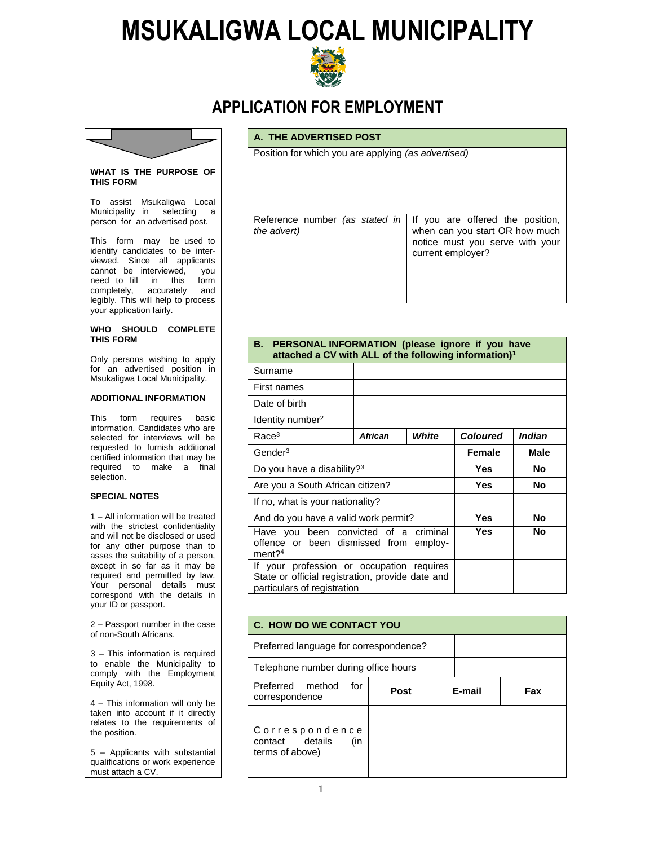# **MSUKALIGWA LOCAL MUNICIPALITY**



## **APPLICATION FOR EMPLOYMENT**

Position for which you are applying *(as advertised)*

**A. THE ADVERTISED POST**



#### **WHAT IS THE PURPOSE OF THIS FORM**

To assist Msukaligwa Local Municipality in selecting a person for an advertised post.

This form may be used to identify candidates to be interviewed. Since all applicants cannot be interviewed, you need to fill in this form completely, accurately and legibly. This will help to process your application fairly.

#### **WHO SHOULD COMPLETE THIS FORM**

Only persons wishing to apply for an advertised position in Msukaligwa Local Municipality.

#### **ADDITIONAL INFORMATION**

This form requires basic information. Candidates who are selected for interviews will be requested to furnish additional certified information that may be required to make a final selection.

#### **SPECIAL NOTES**

1 – All information will be treated with the strictest confidentiality and will not be disclosed or used for any other purpose than to asses the suitability of a person, except in so far as it may be required and permitted by law. Your personal details must correspond with the details in your ID or passport.

2 – Passport number in the case of non-South Africans.

3 – This information is required to enable the Municipality to comply with the Employment Equity Act, 1998.

4 – This information will only be taken into account if it directly relates to the requirements of the position.

5 – Applicants with substantial qualifications or work experience must attach a CV.

| the advert) | Reference number (as stated in   If you are offered the position,<br>when can you start OR how much<br>notice must you serve with your<br>current employer? |
|-------------|-------------------------------------------------------------------------------------------------------------------------------------------------------------|

| <b>I LITOONAL IN ONIFICITOR (PROGOUT MINIC II)</b> YOU HUYG<br>attached a CV with ALL of the following information) <sup>1</sup> |         |             |                 |           |  |
|----------------------------------------------------------------------------------------------------------------------------------|---------|-------------|-----------------|-----------|--|
| Surname                                                                                                                          |         |             |                 |           |  |
| First names                                                                                                                      |         |             |                 |           |  |
| Date of birth                                                                                                                    |         |             |                 |           |  |
| Identity number <sup>2</sup>                                                                                                     |         |             |                 |           |  |
| Race <sup>3</sup>                                                                                                                | African | White       | <b>Coloured</b> | Indian    |  |
| Gender <sup>3</sup>                                                                                                              | Female  | <b>Male</b> |                 |           |  |
| Do you have a disability? <sup>3</sup>                                                                                           |         |             | <b>Yes</b>      | <b>No</b> |  |
| Are you a South African citizen?                                                                                                 |         |             | Yes             | <b>No</b> |  |
| If no, what is your nationality?                                                                                                 |         |             |                 |           |  |
| And do you have a valid work permit?                                                                                             |         |             | Yes             | <b>No</b> |  |
| criminal<br>Have you been convicted of a<br>offence or been dismissed from employ-<br>$ment?$ <sup>4</sup>                       |         |             | Yes             | <b>No</b> |  |
| If your profession or occupation requires<br>State or official registration, provide date and<br>particulars of registration     |         |             |                 |           |  |

| <b>C. HOW DO WE CONTACT YOU</b>                             |      |        |  |     |  |
|-------------------------------------------------------------|------|--------|--|-----|--|
| Preferred language for correspondence?                      |      |        |  |     |  |
| Telephone number during office hours                        |      |        |  |     |  |
| Preferred method<br>for<br>correspondence                   | Post | E-mail |  | Fax |  |
| Correspondence<br>contact details<br>(in<br>terms of above) |      |        |  |     |  |

## **B. PERSONAL INFORMATION (please ignore if you have**